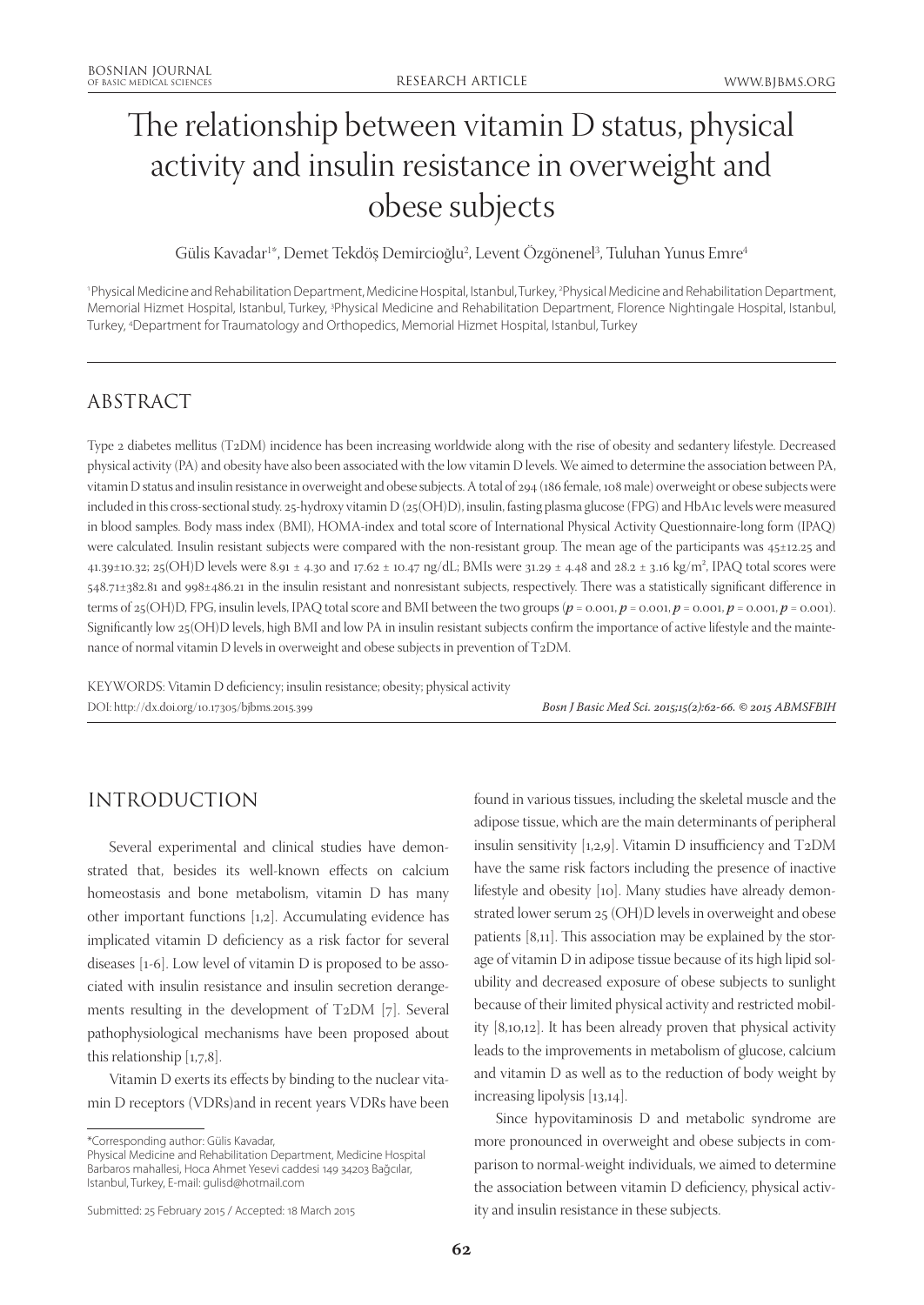# The relationship between vitamin D status, physical activity and insulin resistance in overweight and obese subjects

Gülis Kavadar<sup>1</sup>\*, Demet Tekdöş Demircioğlu<sup>2</sup>, Levent Ozgönenel<sup>3</sup>, Tuluhan Yunus Emre<sup>4</sup>

'Physical Medicine and Rehabilitation Department, Medicine Hospital, Istanbul, Turkey, <sup>2</sup>Physical Medicine and Rehabilitation Department, Memorial Hizmet Hospital, Istanbul, Turkey, <sup>3</sup>Physical Medicine and Rehabilitation Department, Florence Nightingale Hospital, Istanbul, Turkey, 4 Department for Traumatology and Orthopedics, Memorial Hizmet Hospital, Istanbul, Turkey

# ABSTRACT

Type 2 diabetes mellitus (T2DM) incidence has been increasing worldwide along with the rise of obesity and sedantery lifestyle. Decreased physical activity (PA) and obesity have also been associated with the low vitamin D levels. We aimed to determine the association between PA, vitamin D status and insulin resistance in overweight and obese subjects. A total of 294 (186 female, 108 male) overweight or obese subjects were included in this cross-sectional study. 25-hydroxy vitamin D (25(OH)D), insulin, fasting plasma glucose (FPG) and HbA1c levels were measured in blood samples. Body mass index (BMI), HOMA-index and total score of International Physical Activity Questionnaire-long form (IPAQ) were calculated. Insulin resistant subjects were compared with the non-resistant group. The mean age of the participants was 45±12.25 and 41.39±10.32; 25(OH)D levels were 8.91 ± 4.30 and 17.62 ± 10.47 ng/dL; BMIs were 31.29 ± 4.48 and 28.2 ± 3.16 kg/m², IPAQ total scores were 548.71±382.81 and 998±486.21 in the insulin resistant and nonresistant subjects, respectively. There was a statistically significant difference in terms of 25(OH)D, FPG, insulin levels, IPAQ total score and BMI between the two groups  $(p = 0.001, p = 0.001, p = 0.001, p = 0.001, p = 0.001)$ . Significantly low 25(OH)D levels, high BMI and low PA in insulin resistant subjects confirm the importance of active lifestyle and the maintenance of normal vitamin D levels in overweight and obese subjects in prevention of T2DM.

KEYWORDS: Vitamin D deficiency; insulin resistance; obesity; physical activity

DOI: http://dx.doi.org/10.17305/bjbms.2015.399 *Bosn J Basic Med Sci. 2015;15(2):62-66. © 2015 ABMSFBIH*

# INTRODUCTION

Several experimental and clinical studies have demonstrated that, besides its well-known effects on calcium homeostasis and bone metabolism, vitamin D has many other important functions [1,2]. Accumulating evidence has implicated vitamin D deficiency as a risk factor for several diseases [1-6]. Low level of vitamin D is proposed to be associated with insulin resistance and insulin secretion derangements resulting in the development of T2DM [7]. Several pathophysiological mechanisms have been proposed about this relationship [1,7,8].

Vitamin D exerts its effects by binding to the nuclear vitamin D receptors (VDRs)and in recent years VDRs have been

\*Corresponding author: Gülis Kavadar,

Physical Medicine and Rehabilitation Department, Medicine Hospital Barbaros mahallesi, Hoca Ahmet Yesevi caddesi 149 34203 Bağcılar, Istanbul, Turkey, E-mail: gulisd@hotmail.com

found in various tissues, including the skeletal muscle and the adipose tissue, which are the main determinants of peripheral insulin sensitivity [1,2,9]. Vitamin D insufficiency and T2DM have the same risk factors including the presence of inactive lifestyle and obesity [10]. Many studies have already demonstrated lower serum 25 (OH)D levels in overweight and obese patients [8,11]. This association may be explained by the storage of vitamin D in adipose tissue because of its high lipid solubility and decreased exposure of obese subjects to sunlight because of their limited physical activity and restricted mobility [8,10,12]. It has been already proven that physical activity leads to the improvements in metabolism of glucose, calcium and vitamin D as well as to the reduction of body weight by increasing lipolysis [13,14].

Since hypovitaminosis D and metabolic syndrome are more pronounced in overweight and obese subjects in comparison to normal-weight individuals, we aimed to determine the association between vitamin D deficiency, physical activity and insulin resistance in these subjects.

Submitted: 25 February 2015 / Accepted: 18 March 2015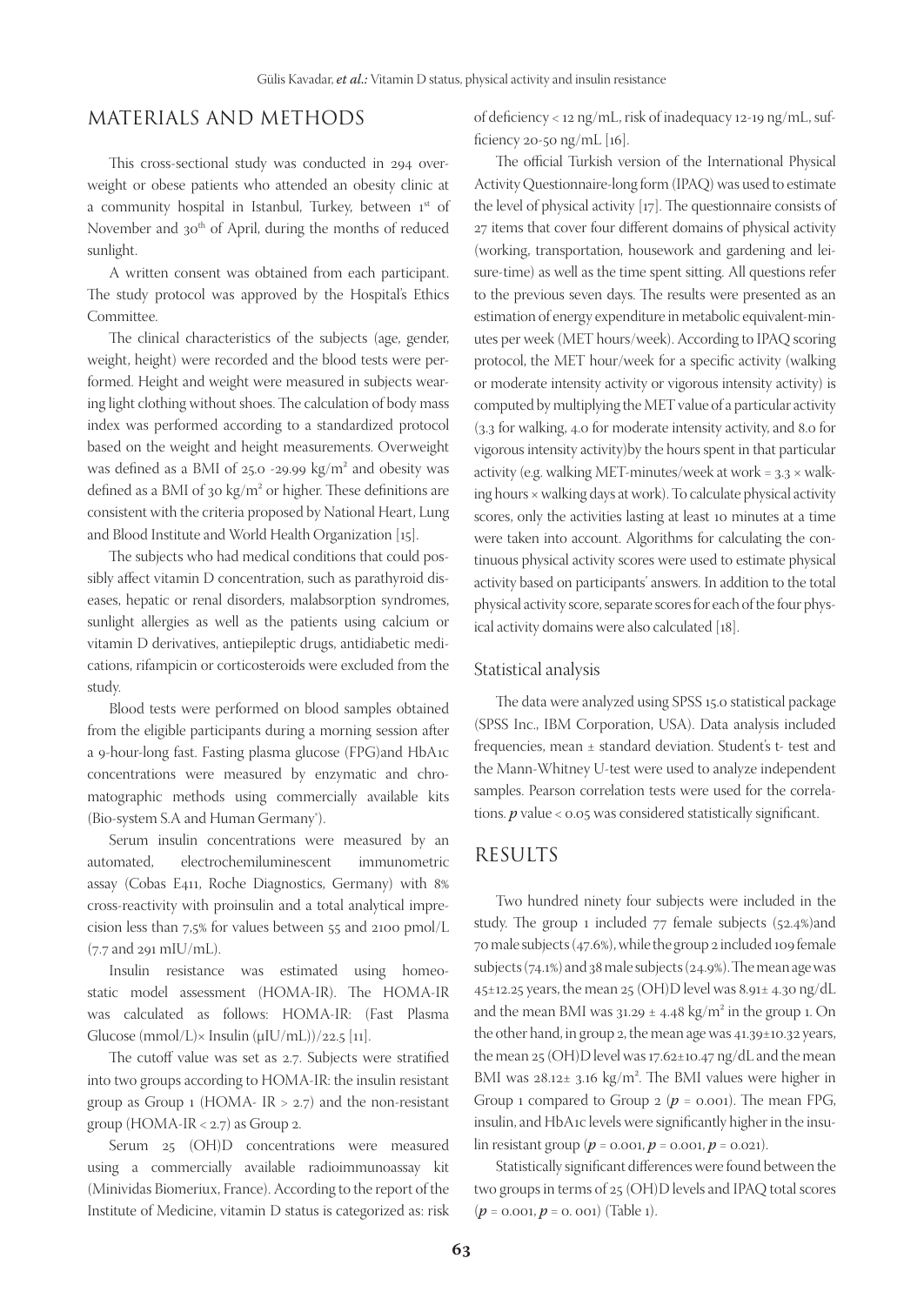## MATERIALS AND METHODS

This cross-sectional study was conducted in 294 overweight or obese patients who attended an obesity clinic at a community hospital in Istanbul, Turkey, between 1st of November and 30<sup>th</sup> of April, during the months of reduced sunlight.

A written consent was obtained from each participant. The study protocol was approved by the Hospital's Ethics Committee.

The clinical characteristics of the subjects (age, gender, weight, height) were recorded and the blood tests were performed. Height and weight were measured in subjects wearing light clothing without shoes. The calculation of body mass index was performed according to a standardized protocol based on the weight and height measurements. Overweight was defined as a BMI of 25.0 -29.99 kg/m² and obesity was defined as a BMI of 30 kg/m² or higher. These definitions are consistent with the criteria proposed by National Heart, Lung and Blood Institute and World Health Organization [15].

The subjects who had medical conditions that could possibly affect vitamin D concentration, such as parathyroid diseases, hepatic or renal disorders, malabsorption syndromes, sunlight allergies as well as the patients using calcium or vitamin D derivatives, antiepileptic drugs, antidiabetic medications, rifampicin or corticosteroids were excluded from the study.

Blood tests were performed on blood samples obtained from the eligible participants during a morning session after a 9-hour-long fast. Fasting plasma glucose (FPG)and HbA1c concentrations were measured by enzymatic and chromatographic methods using commercially available kits (Bio-system S.A and Human Germany<sup>®</sup>).

Serum insulin concentrations were measured by an automated, electrochemiluminescent immunometric assay (Cobas E411, Roche Diagnostics, Germany) with 8% cross-reactivity with proinsulin and a total analytical imprecision less than 7,5% for values between 55 and 2100 pmol/L (7.7 and 291 mIU/mL).

Insulin resistance was estimated using homeostatic model assessment (HOMA-IR). The HOMA-IR was calculated as follows: HOMA-IR: (Fast Plasma Glucose  $(mmol/L) \times Insulin (\mu IU/mL))/22.5$  [11].

The cutoff value was set as 2.7. Subjects were stratified into two groups according to HOMA-IR: the insulin resistant group as Group  $1$  (HOMA- IR  $> 2.7$ ) and the non-resistant group (HOMA-IR < 2.7) as Group 2.

Serum 25 (OH)D concentrations were measured using a commercially available radioimmunoassay kit (Minividas Biomeriux, France). According to the report of the Institute of Medicine, vitamin D status is categorized as: risk

of deficiency < 12 ng/mL, risk of inadequacy 12-19 ng/mL, sufficiency 20-50 ng/mL  $[16]$ .

The official Turkish version of the International Physical Activity Questionnaire-long form (IPAQ) was used to estimate the level of physical activity [17]. The questionnaire consists of 27 items that cover four different domains of physical activity (working, transportation, housework and gardening and leisure-time) as well as the time spent sitting. All questions refer to the previous seven days. The results were presented as an estimation of energy expenditure in metabolic equivalent-minutes per week (MET hours/week). According to IPAQ scoring protocol, the MET hour/week for a specific activity (walking or moderate intensity activity or vigorous intensity activity) is computed by multiplying the MET value of a particular activity (3.3 for walking, 4.0 for moderate intensity activity, and 8.0 for vigorous intensity activity)by the hours spent in that particular activity (e.g. walking MET-minutes/week at work =  $3.3 \times$  walking hours × walking days at work). To calculate physical activity scores, only the activities lasting at least 10 minutes at a time were taken into account. Algorithms for calculating the continuous physical activity scores were used to estimate physical activity based on participants' answers. In addition to the total physical activity score, separate scores for each of the four physical activity domains were also calculated [18].

#### Statistical analysis

The data were analyzed using SPSS 15.0 statistical package (SPSS Inc., IBM Corporation, USA). Data analysis included frequencies, mean ± standard deviation. Student's t- test and the Mann-Whitney U-test were used to analyze independent samples. Pearson correlation tests were used for the correlations. *p* value < 0.05 was considered statistically significant.

## RESULTS

Two hundred ninety four subjects were included in the study. The group 1 included 77 female subjects (52.4%)and 70 male subjects (47.6%), while the group 2 included 109 female subjects (74.1%) and 38 male subjects (24.9%). The mean age was 45±12.25 years, the mean 25 (OH)D level was 8.91± 4.30 ng/dL and the mean BMI was  $31.29 \pm 4.48$  kg/m<sup>2</sup> in the group 1. On the other hand, in group 2, the mean age was 41.39±10.32 years, the mean 25 (OH)D level was 17.62±10.47 ng/dL and the mean BMI was 28.12± 3.16 kg/m². The BMI values were higher in Group 1 compared to Group  $2$  ( $p = 0.001$ ). The mean FPG, insulin, and HbA1c levels were significantly higher in the insulin resistant group ( $p = 0.001$ ,  $p = 0.001$ ,  $p = 0.021$ ).

Statistically significant differences were found between the two groups in terms of 25 (OH)D levels and IPAQ total scores (*p* = 0.001, *p* = 0. 001) (Table 1).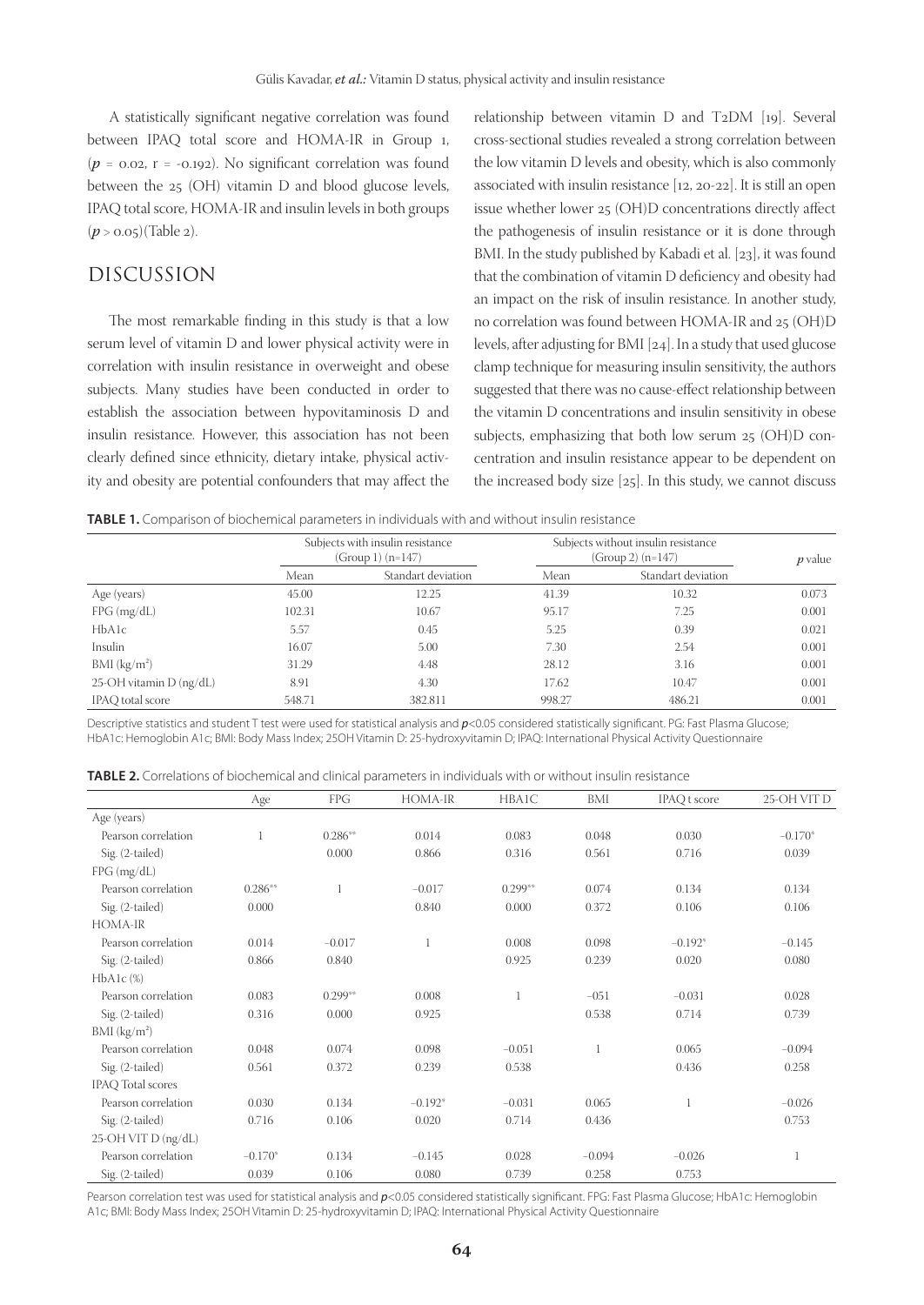A statistically significant negative correlation was found between IPAQ total score and HOMA-IR in Group 1,  $(p = 0.02, r = -0.192)$ . No significant correlation was found between the 25 (OH) vitamin D and blood glucose levels, IPAQ total score, HOMA-IR and insulin levels in both groups (*p* > 0.05)(Table 2).

### DISCUSSION

The most remarkable finding in this study is that a low serum level of vitamin D and lower physical activity were in correlation with insulin resistance in overweight and obese subjects. Many studies have been conducted in order to establish the association between hypovitaminosis D and insulin resistance. However, this association has not been clearly defined since ethnicity, dietary intake, physical activity and obesity are potential confounders that may affect the relationship between vitamin D and T2DM [19]. Several cross-sectional studies revealed a strong correlation between the low vitamin D levels and obesity, which is also commonly associated with insulin resistance [12, 20-22]. It is still an open issue whether lower 25 (OH)D concentrations directly affect the pathogenesis of insulin resistance or it is done through BMI. In the study published by Kabadi et al. [23], it was found that the combination of vitamin D deficiency and obesity had an impact on the risk of insulin resistance. In another study, no correlation was found between HOMA-IR and 25 (OH)D levels, after adjusting for BMI [24]. In a study that used glucose clamp technique for measuring insulin sensitivity, the authors suggested that there was no cause-effect relationship between the vitamin D concentrations and insulin sensitivity in obese subjects, emphasizing that both low serum 25 (OH)D concentration and insulin resistance appear to be dependent on the increased body size [25]. In this study, we cannot discuss

**TABLE 1.** Comparison of biochemical parameters in individuals with and without insulin resistance

|                           | Subjects with insulin resistance<br>$(Group 1) (n=147)$ |                    | Subjects without insulin resistance<br>$(Group 2) (n=147)$ | $p$ value          |       |
|---------------------------|---------------------------------------------------------|--------------------|------------------------------------------------------------|--------------------|-------|
|                           | Mean                                                    | Standart deviation | Mean                                                       | Standart deviation |       |
| Age (years)               | 45.00                                                   | 12.25              | 41.39                                                      | 10.32              | 0.073 |
| FPG (mg/dL)               | 102.31                                                  | 10.67              | 95.17                                                      | 7.25               | 0.001 |
| HbA1c                     | 5.57                                                    | 0.45               | 5.25                                                       | 0.39               | 0.021 |
| Insulin                   | 16.07                                                   | 5.00               | 7.30                                                       | 2.54               | 0.001 |
| BMI (kg/m <sup>2</sup> )  | 31.29                                                   | 4.48               | 28.12                                                      | 3.16               | 0.001 |
| 25-OH vitamin $D$ (ng/dL) | 8.91                                                    | 4.30               | 17.62                                                      | 10.47              | 0.001 |
| IPAO total score          | 548.71                                                  | 382.811            | 998.27                                                     | 486.21             | 0.001 |

Descriptive statistics and student T test were used for statistical analysis and  $p<0.05$  considered statistically significant. PG: Fast Plasma Glucose; HbA1c: Hemoglobin A1c; BMI: Body Mass Index; 25OH Vitamin D: 25-hydroxyvitamin D; IPAQ: International Physical Activity Questionnaire

|  | <b>TABLE 2.</b> Correlations of biochemical and clinical parameters in individuals with or without insulin resistance |
|--|-----------------------------------------------------------------------------------------------------------------------|
|--|-----------------------------------------------------------------------------------------------------------------------|

|                          | Age       | FPG          | HOMA-IR      | HBA1C     | BMI      | <b>IPAQ</b> t score | 25-OH VIT D |
|--------------------------|-----------|--------------|--------------|-----------|----------|---------------------|-------------|
| Age (years)              |           |              |              |           |          |                     |             |
| Pearson correlation      |           | $0.286**$    | 0.014        | 0.083     | 0.048    | 0.030               | $-0.170*$   |
| Sig. (2-tailed)          |           | 0.000        | 0.866        | 0.316     | 0.561    | 0.716               | 0.039       |
| FPG (mg/dL)              |           |              |              |           |          |                     |             |
| Pearson correlation      | $0.286**$ | $\mathbf{1}$ | $-0.017$     | $0.299**$ | 0.074    | 0.134               | 0.134       |
| Sig. (2-tailed)          | 0.000     |              | 0.840        | 0.000     | 0.372    | 0.106               | 0.106       |
| HOMA-IR                  |           |              |              |           |          |                     |             |
| Pearson correlation      | 0.014     | $-0.017$     | $\mathbf{1}$ | 0.008     | 0.098    | $-0.192*$           | $-0.145$    |
| Sig. (2-tailed)          | 0.866     | 0.840        |              | 0.925     | 0.239    | 0.020               | 0.080       |
| $HbA1c$ $(\%)$           |           |              |              |           |          |                     |             |
| Pearson correlation      | 0.083     | $0.299**$    | 0.008        |           | $-051$   | $-0.031$            | 0.028       |
| Sig. (2-tailed)          | 0.316     | 0.000        | 0.925        |           | 0.538    | 0.714               | 0.739       |
| BMI $(kg/m2)$            |           |              |              |           |          |                     |             |
| Pearson correlation      | 0.048     | 0.074        | 0.098        | $-0.051$  |          | 0.065               | $-0.094$    |
| Sig. (2-tailed)          | 0.561     | 0.372        | 0.239        | 0.538     |          | 0.436               | 0.258       |
| <b>IPAO</b> Total scores |           |              |              |           |          |                     |             |
| Pearson correlation      | 0.030     | 0.134        | $-0.192*$    | $-0.031$  | 0.065    | 1                   | $-0.026$    |
| Sig. (2-tailed)          | 0.716     | 0.106        | 0.020        | 0.714     | 0.436    |                     | 0.753       |
| 25-OH VIT D (ng/dL)      |           |              |              |           |          |                     |             |
| Pearson correlation      | $-0.170*$ | 0.134        | $-0.145$     | 0.028     | $-0.094$ | $-0.026$            | 1           |
| Sig. (2-tailed)          | 0.039     | 0.106        | 0.080        | 0.739     | 0.258    | 0.753               |             |

Pearson correlation test was used for statistical analysis and *p*<0.05 considered statistically significant. FPG: Fast Plasma Glucose; HbA1c: Hemoglobin A1c; BMI: Body Mass Index; 25OH Vitamin D: 25-hydroxyvitamin D; IPAQ: International Physical Activity Questionnaire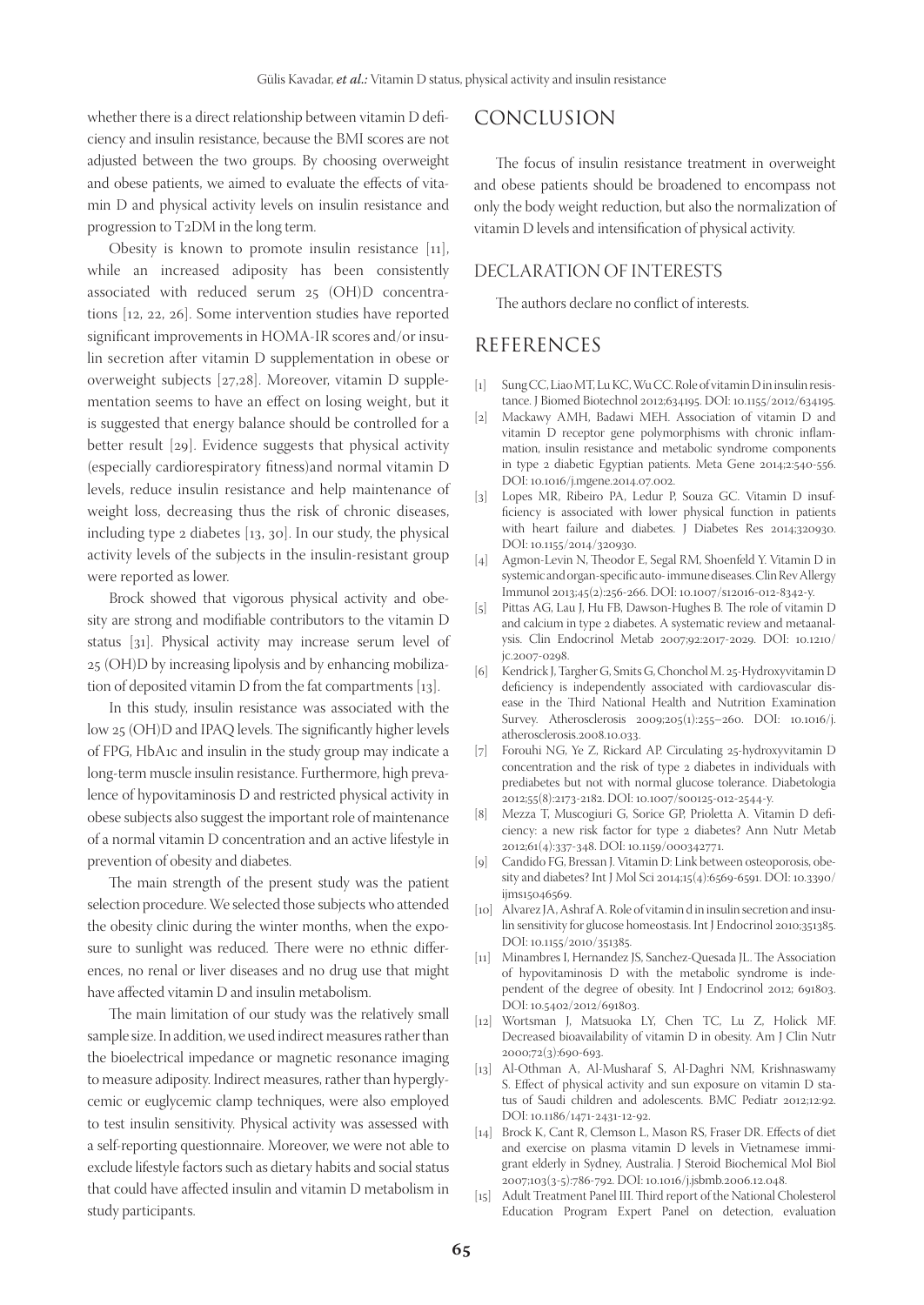whether there is a direct relationship between vitamin D deficiency and insulin resistance, because the BMI scores are not adjusted between the two groups. By choosing overweight and obese patients, we aimed to evaluate the effects of vitamin D and physical activity levels on insulin resistance and progression to T2DM in the long term.

Obesity is known to promote insulin resistance  $[11]$ , while an increased adiposity has been consistently associated with reduced serum 25 (OH)D concentrations [12, 22, 26]. Some intervention studies have reported significant improvements in HOMA-IR scores and/or insulin secretion after vitamin D supplementation in obese or overweight subjects [27,28]. Moreover, vitamin D supplementation seems to have an effect on losing weight, but it is suggested that energy balance should be controlled for a better result [29]. Evidence suggests that physical activity (especially cardiorespiratory fitness)and normal vitamin D levels, reduce insulin resistance and help maintenance of weight loss, decreasing thus the risk of chronic diseases, including type 2 diabetes [13, 30]. In our study, the physical activity levels of the subjects in the insulin-resistant group were reported as lower.

Brock showed that vigorous physical activity and obesity are strong and modifiable contributors to the vitamin D status [31]. Physical activity may increase serum level of 25 (OH)D by increasing lipolysis and by enhancing mobilization of deposited vitamin D from the fat compartments [13].

In this study, insulin resistance was associated with the low 25 (OH)D and IPAQ levels. The significantly higher levels of FPG, HbA1c and insulin in the study group may indicate a long-term muscle insulin resistance. Furthermore, high prevalence of hypovitaminosis D and restricted physical activity in obese subjects also suggest the important role of maintenance of a normal vitamin D concentration and an active lifestyle in prevention of obesity and diabetes.

The main strength of the present study was the patient selection procedure. We selected those subjects who attended the obesity clinic during the winter months, when the exposure to sunlight was reduced. There were no ethnic differences, no renal or liver diseases and no drug use that might have affected vitamin D and insulin metabolism.

The main limitation of our study was the relatively small sample size. In addition, we used indirect measures rather than the bioelectrical impedance or magnetic resonance imaging to measure adiposity. Indirect measures, rather than hyperglycemic or euglycemic clamp techniques, were also employed to test insulin sensitivity. Physical activity was assessed with a self-reporting questionnaire. Moreover, we were not able to exclude lifestyle factors such as dietary habits and social status that could have affected insulin and vitamin D metabolism in study participants.

### CONCLUSION

The focus of insulin resistance treatment in overweight and obese patients should be broadened to encompass not only the body weight reduction, but also the normalization of vitamin D levels and intensification of physical activity.

#### DECLARATION OF INTERESTS

The authors declare no conflict of interests.

#### REFERENCES

- [1] Sung CC, Liao MT, Lu KC, Wu CC. Role of vitamin D in insulin resistance. J Biomed Biotechnol 2012;634195. DOI: 10.1155/2012/634195.
- [2] Mackawy AMH, Badawi MEH. Association of vitamin D and vitamin D receptor gene polymorphisms with chronic inflammation, insulin resistance and metabolic syndrome components in type 2 diabetic Egyptian patients. Meta Gene 2014;2:540-556. DOI: 10.1016/j.mgene.2014.07.002.
- [3] Lopes MR, Ribeiro PA, Ledur P, Souza GC. Vitamin D insufficiency is associated with lower physical function in patients with heart failure and diabetes. J Diabetes Res 2014;320930. DOI: 10.1155/2014/320930.
- [4] Agmon-Levin N, Theodor E, Segal RM, Shoenfeld Y. Vitamin D in systemic and organ-specific auto- immune diseases. Clin Rev Allergy Immunol 2013;45(2):256-266. DOI: 10.1007/s12016-012-8342-y.
- [5] Pittas AG, Lau J, Hu FB, Dawson-Hughes B. The role of vitamin D and calcium in type 2 diabetes. A systematic review and metaanalysis. Clin Endocrinol Metab 2007;92:2017-2029. DOI: 10.1210/ jc.2007-0298.
- [6] Kendrick J, Targher G, Smits G, Chonchol M. 25-Hydroxyvitamin D deficiency is independently associated with cardiovascular disease in the Third National Health and Nutrition Examination Survey. Atherosclerosis 2009;205(1):255–260. DOI: 10.1016/j. atherosclerosis.2008.10.033.
- [7] Forouhi NG, Ye Z, Rickard AP. Circulating 25-hydroxyvitamin D concentration and the risk of type 2 diabetes in individuals with prediabetes but not with normal glucose tolerance. Diabetologia 2012;55(8):2173-2182. DOI: 10.1007/s00125-012-2544-y.
- [8] Mezza T, Muscogiuri G, Sorice GP, Prioletta A. Vitamin D deficiency: a new risk factor for type 2 diabetes? Ann Nutr Metab 2012;61(4):337-348. DOI: 10.1159/000342771.
- [9] Candido FG, Bressan J. Vitamin D: Link between osteoporosis, obesity and diabetes? Int J Mol Sci 2014;15(4):6569-6591. DOI: 10.3390/ ijms15046569.
- [10] Alvarez JA, Ashraf A. Role of vitamin d in insulin secretion and insulin sensitivity for glucose homeostasis. Int J Endocrinol 2010;351385. DOI: 10.1155/2010/351385.
- [11] Minambres I, Hernandez JS, Sanchez-Quesada JL. The Association of hypovitaminosis D with the metabolic syndrome is independent of the degree of obesity. Int J Endocrinol 2012; 691803. DOI: 10.5402/2012/691803.
- [12] Wortsman J, Matsuoka LY, Chen TC, Lu Z, Holick MF. Decreased bioavailability of vitamin D in obesity. Am J Clin Nutr 2000;72(3):690-693.
- [13] Al-Othman A, Al-Musharaf S, Al-Daghri NM, Krishnaswamy S. Effect of physical activity and sun exposure on vitamin D status of Saudi children and adolescents. BMC Pediatr 2012;12:92. DOI: 10.1186/1471-2431-12-92.
- [14] Brock K, Cant R, Clemson L, Mason RS, Fraser DR. Effects of diet and exercise on plasma vitamin D levels in Vietnamese immigrant elderly in Sydney, Australia. J Steroid Biochemical Mol Biol 2007;103(3-5):786-792. DOI: 10.1016/j.jsbmb.2006.12.048.
- Adult Treatment Panel III. Third report of the National Cholesterol Education Program Expert Panel on detection, evaluation